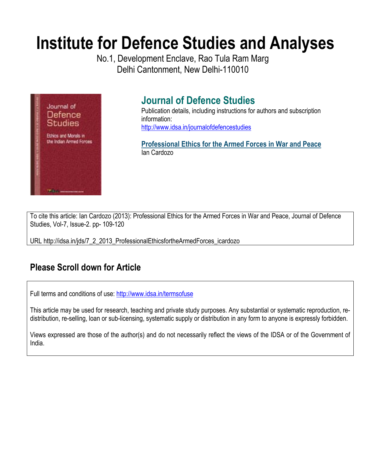# **Institute for Defence Studies and Analyses**

No.1, Development Enclave, Rao Tula Ram Marg Delhi Cantonment, New Delhi-110010



## **Journal of Defence Studies**

Publication details, including instructions for authors and subscription information: http://www.idsa.in/journalofdefencestudies

**Professional Ethics for the Armed Forces in War and Peace** Ian Cardozo

To cite this article: Ian Cardozo (2013): Professional Ethics for the Armed Forces in War and Peace, Journal of Defence Studies, Vol-7, Issue-2. pp- 109-120

URL http://idsa.in/jds/7\_2\_2013\_ProfessionalEthicsfortheArmedForces\_icardozo

## **Please Scroll down for Article**

Full terms and conditions of use: http://www.idsa.in/termsofuse

This article may be used for research, teaching and private study purposes. Any substantial or systematic reproduction, redistribution, re-selling, loan or sub-licensing, systematic supply or distribution in any form to anyone is expressly forbidden.

Views expressed are those of the author(s) and do not necessarily reflect the views of the IDSA or of the Government of India.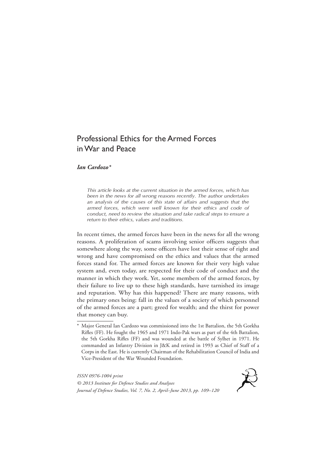### Professional Ethics for the Armed Forces in War and Peace

#### *Ian Cardozo\**

*This article looks at the current situation in the armed forces, which has been in the news for all wrong reasons recently. The author undertakes*  an analysis of the causes of this state of affairs and suggests that the *armed forces, which were well known for their ethics and code of conduct, need to review the situation and take radical steps to ensure a return to their ethics, values and traditions.*

In recent times, the armed forces have been in the news for all the wrong reasons. A proliferation of scams involving senior officers suggests that somewhere along the way, some officers have lost their sense of right and wrong and have compromised on the ethics and values that the armed forces stand for. The armed forces are known for their very high value system and, even today, are respected for their code of conduct and the manner in which they work. Yet, some members of the armed forces, by their failure to live up to these high standards, have tarnished its image and reputation. Why has this happened? There are many reasons, with the primary ones being: fall in the values of a society of which personnel of the armed forces are a part; greed for wealth; and the thirst for power that money can buy.

*ISSN 0976-1004 print © 2013 Institute for Defence Studies and Analyses Journal of Defence Studies, Vol. 7, No. 2, April–June 2013, pp. 109–120*



<sup>\*</sup> Major General Ian Cardozo was commissioned into the 1st Battalion, the 5th Gorkha Rifles (FF). He fought the 1965 and 1971 Indo-Pak wars as part of the 4th Battalion, the 5th Gorkha Rifles (FF) and was wounded at the battle of Sylhet in 1971. He commanded an Infantry Division in J&K and retired in 1993 as Chief of Staff of a Corps in the East. He is currently Chairman of the Rehabilitation Council of India and Vice-President of the War Wounded Foundation.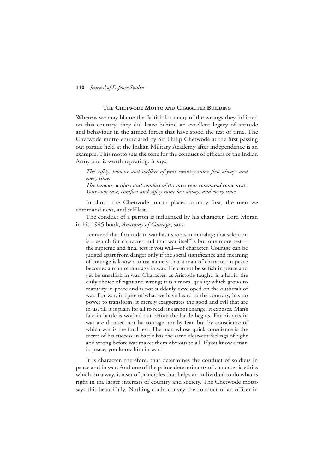#### **The Chetwode Motto and Character Building**

Whereas we may blame the British for many of the wrongs they inflicted on this country, they did leave behind an excellent legacy of attitude and behaviour in the armed forces that have stood the test of time. The Chetwode motto enunciated by Sir Philip Chetwode at the first passing out parade held at the Indian Military Academy after independence is an example. This motto sets the tone for the conduct of officers of the Indian Army and is worth repeating. It says:

*The safety, honour and welfare of your country come first always and every time, The honour, welfare and comfort of the men your command come next,* 

*Your own ease, comfort and safety come last always and every time.*

In short, the Chetwode motto places country first, the men we command next, and self last.

The conduct of a person is influenced by his character. Lord Moran in his 1945 book, *Anatomy of Courage*, says:

I contend that fortitude in war has its roots in morality; that selection is a search for character and that war itself is but one more test the supreme and final test if you will—of character. Courage can be judged apart from danger only if the social significance and meaning of courage is known to us; namely that a man of character in peace becomes a man of courage in war. He cannot be selfish in peace and yet be unselfish in war. Character, as Aristotle taught, is a habit, the daily choice of right and wrong; it is a moral quality which grows to maturity in peace and is not suddenly developed on the outbreak of war. For war, in spite of what we have heard to the contrary, has no power to transform, it merely exaggerates the good and evil that are in us, till it is plain for all to read; it cannot change; it exposes. Man's fate in battle is worked out before the battle begins. For his acts in war are dictated not by courage nor by fear, but by conscience of which war is the final test. The man whose quick conscience is the secret of his success in battle has the same clear-cut feelings of right and wrong before war makes them obvious to all. If you know a man in peace, you know him in war.<sup>1</sup>

It is character, therefore, that determines the conduct of soldiers in peace and in war. And one of the prime determinants of character is ethics which, in a way, is a set of principles that helps an individual to do what is right in the larger interests of country and society. The Chetwode motto says this beautifully. Nothing could convey the conduct of an officer in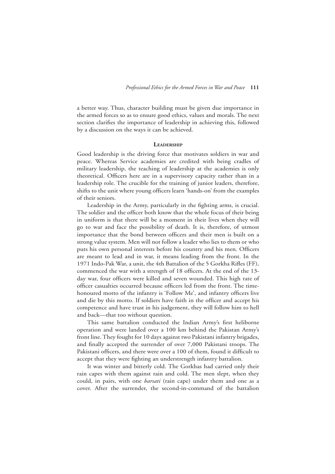a better way. Thus, character building must be given due importance in the armed forces so as to ensure good ethics, values and morals. The next section clarifies the importance of leadership in achieving this, followed by a discussion on the ways it can be achieved.

#### **Leadership**

Good leadership is the driving force that motivates soldiers in war and peace. Whereas Service academies are credited with being cradles of military leadership, the teaching of leadership at the academies is only theoretical. Officers here are in a supervisory capacity rather than in a leadership role. The crucible for the training of junior leaders, therefore, shifts to the unit where young officers learn 'hands-on' from the examples of their seniors.

Leadership in the Army, particularly in the fighting arms, is crucial. The soldier and the officer both know that the whole focus of their being in uniform is that there will be a moment in their lives when they will go to war and face the possibility of death. It is, therefore, of utmost importance that the bond between officers and their men is built on a strong value system. Men will not follow a leader who lies to them or who puts his own personal interests before his country and his men. Officers are meant to lead and in war, it means leading from the front. In the 1971 Indo-Pak War, a unit, the 4th Battalion of the 5 Gorkha Rifles (FF), commenced the war with a strength of 18 officers. At the end of the 13 day war, four officers were killed and seven wounded. This high rate of officer casualties occurred because officers led from the front. The timehonoured motto of the infantry is 'Follow Me', and infantry officers live and die by this motto. If soldiers have faith in the officer and accept his competence and have trust in his judgement, they will follow him to hell and back—that too without question.

This same battalion conducted the Indian Army's first heliborne operation and were landed over a 100 km behind the Pakistan Army's front line. They fought for 10 days against two Pakistani infantry brigades, and finally accepted the surrender of over 7,000 Pakistani troops. The Pakistani officers, and there were over a 100 of them, found it difficult to accept that they were fighting an understrength infantry battalion.

It was winter and bitterly cold. The Gorkhas had carried only their rain capes with them against rain and cold. The men slept, when they could, in pairs, with one *barsati* (rain cape) under them and one as a cover. After the surrender, the second-in-command of the battalion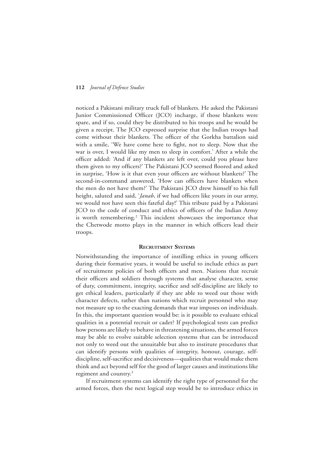noticed a Pakistani military truck full of blankets. He asked the Pakistani Junior Commissioned Officer (JCO) incharge, if those blankets were spare, and if so, could they be distributed to his troops and he would be given a receipt. The JCO expressed surprise that the Indian troops had come without their blankets. The officer of the Gorkha battalion said with a smile, 'We have come here to fight, not to sleep. Now that the war is over, I would like my men to sleep in comfort.' After a while the officer added: 'And if any blankets are left over, could you please have them given to my officers?' The Pakistani JCO seemed floored and asked in surprise, 'How is it that even your officers are without blankets?' The second-in-command answered, 'How can officers have blankets when the men do not have them?' The Pakistani JCO drew himself to his full height, saluted and said, '*Janab*, if we had officers like yours in our army, we would not have seen this fateful day!' This tribute paid by a Pakistani JCO to the code of conduct and ethics of officers of the Indian Army is worth remembering.<sup>2</sup> This incident showcases the importance that the Chetwode motto plays in the manner in which officers lead their troops.

#### **Recruitment Systems**

Notwithstanding the importance of instilling ethics in young officers during their formative years, it would be useful to include ethics as part of recruitment policies of both officers and men. Nations that recruit their officers and soldiers through systems that analyse character, sense of duty, commitment, integrity, sacrifice and self-discipline are likely to get ethical leaders, particularly if they are able to weed out those with character defects, rather than nations which recruit personnel who may not measure up to the exacting demands that war imposes on individuals. In this, the important question would be: is it possible to evaluate ethical qualities in a potential recruit or cadet? If psychological tests can predict how persons are likely to behave in threatening situations, the armed forces may be able to evolve suitable selection systems that can be introduced not only to weed out the unsuitable but also to institute procedures that can identify persons with qualities of integrity, honour, courage, selfdiscipline, self-sacrifice and decisiveness—qualities that would make them think and act beyond self for the good of larger causes and institutions like regiment and country.<sup>3</sup>

If recruitment systems can identify the right type of personnel for the armed forces, then the next logical step would be to introduce ethics in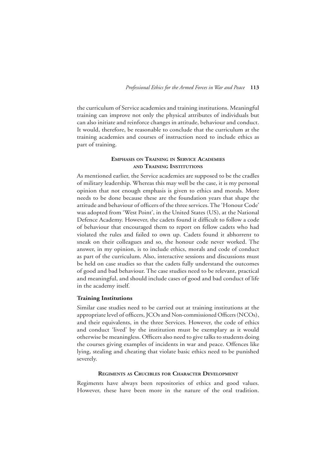the curriculum of Service academies and training institutions. Meaningful training can improve not only the physical attributes of individuals but can also initiate and reinforce changes in attitude, behaviour and conduct. It would, therefore, be reasonable to conclude that the curriculum at the training academies and courses of instruction need to include ethics as part of training.

#### **Emphasis on Training in Service Academies and Training Institutions**

As mentioned earlier, the Service academies are supposed to be the cradles of military leadership. Whereas this may well be the case, it is my personal opinion that not enough emphasis is given to ethics and morals. More needs to be done because these are the foundation years that shape the attitude and behaviour of officers of the three services. The 'Honour Code' was adopted from 'West Point', in the United States (US), at the National Defence Academy. However, the cadets found it difficult to follow a code of behaviour that encouraged them to report on fellow cadets who had violated the rules and failed to own up. Cadets found it abhorrent to sneak on their colleagues and so, the honour code never worked. The answer, in my opinion, is to include ethics, morals and code of conduct as part of the curriculum. Also, interactive sessions and discussions must be held on case studies so that the cadets fully understand the outcomes of good and bad behaviour. The case studies need to be relevant, practical and meaningful, and should include cases of good and bad conduct of life in the academy itself.

#### **Training Institutions**

Similar case studies need to be carried out at training institutions at the appropriate level of officers, JCOs and Non-commissioned Officers (NCOs), and their equivalents, in the three Services. However, the code of ethics and conduct 'lived' by the institution must be exemplary as it would otherwise be meaningless. Officers also need to give talks to students doing the courses giving examples of incidents in war and peace. Offences like lying, stealing and cheating that violate basic ethics need to be punished severely.

#### **Regiments as Crucibles for Character Development**

Regiments have always been repositories of ethics and good values. However, these have been more in the nature of the oral tradition.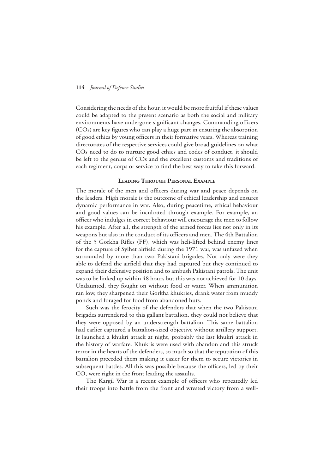Considering the needs of the hour, it would be more fruitful if these values could be adapted to the present scenario as both the social and military environments have undergone significant changes. Commanding officers (COs) are key figures who can play a huge part in ensuring the absorption of good ethics by young officers in their formative years. Whereas training directorates of the respective services could give broad guidelines on what COs need to do to nurture good ethics and codes of conduct, it should be left to the genius of COs and the excellent customs and traditions of each regiment, corps or service to find the best way to take this forward.

#### **Leading Through Personal Example**

The morale of the men and officers during war and peace depends on the leaders. High morale is the outcome of ethical leadership and ensures dynamic performance in war. Also, during peacetime, ethical behaviour and good values can be inculcated through example. For example, an officer who indulges in correct behaviour will encourage the men to follow his example. After all, the strength of the armed forces lies not only in its weapons but also in the conduct of its officers and men. The 4th Battalion of the 5 Gorkha Rifles (FF), which was heli-lifted behind enemy lines for the capture of Sylhet airfield during the 1971 war, was unfazed when surrounded by more than two Pakistani brigades. Not only were they able to defend the airfield that they had captured but they continued to expand their defensive position and to ambush Pakistani patrols. The unit was to be linked up within 48 hours but this was not achieved for 10 days. Undaunted, they fought on without food or water. When ammunition ran low, they sharpened their Gorkha khukries, drank water from muddy ponds and foraged for food from abandoned huts.

Such was the ferocity of the defenders that when the two Pakistani brigades surrendered to this gallant battalion, they could not believe that they were opposed by an understrength battalion. This same battalion had earlier captured a battalion-sized objective without artillery support. It launched a khukri attack at night, probably the last khukri attack in the history of warfare. Khukris were used with abandon and this struck terror in the hearts of the defenders, so much so that the reputation of this battalion preceded them making it easier for them to secure victories in subsequent battles. All this was possible because the officers, led by their CO, were right in the front leading the assaults.

The Kargil War is a recent example of officers who repeatedly led their troops into battle from the front and wrested victory from a well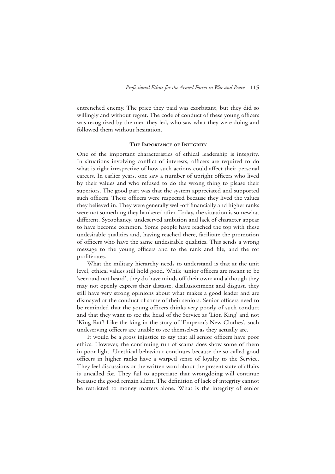entrenched enemy. The price they paid was exorbitant, but they did so willingly and without regret. The code of conduct of these young officers was recognized by the men they led, who saw what they were doing and followed them without hesitation.

#### **The Importance of Integrity**

One of the important characteristics of ethical leadership is integrity. In situations involving conflict of interests, officers are required to do what is right irrespective of how such actions could affect their personal careers. In earlier years, one saw a number of upright officers who lived by their values and who refused to do the wrong thing to please their superiors. The good part was that the system appreciated and supported such officers. These officers were respected because they lived the values they believed in. They were generally well-off financially and higher ranks were not something they hankered after. Today, the situation is somewhat different. Sycophancy, undeserved ambition and lack of character appear to have become common. Some people have reached the top with these undesirable qualities and, having reached there, facilitate the promotion of officers who have the same undesirable qualities. This sends a wrong message to the young officers and to the rank and file, and the rot proliferates.

What the military hierarchy needs to understand is that at the unit level, ethical values still hold good. While junior officers are meant to be 'seen and not heard', they do have minds off their own; and although they may not openly express their distaste, disillusionment and disgust, they still have very strong opinions about what makes a good leader and are dismayed at the conduct of some of their seniors. Senior officers need to be reminded that the young officers thinks very poorly of such conduct and that they want to see the head of the Service as 'Lion King' and not 'King Rat'! Like the king in the story of 'Emperor's New Clothes', such undeserving officers are unable to see themselves as they actually are.

It would be a gross injustice to say that all senior officers have poor ethics. However, the continuing run of scams does show some of them in poor light. Unethical behaviour continues because the so-called good officers in higher ranks have a warped sense of loyalty to the Service. They feel discussions or the written word about the present state of affairs is uncalled for. They fail to appreciate that wrongdoing will continue because the good remain silent. The definition of lack of integrity cannot be restricted to money matters alone. What is the integrity of senior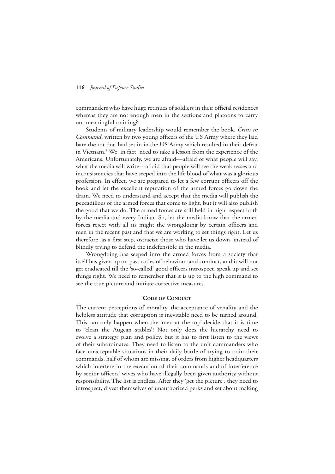commanders who have huge retinues of soldiers in their official residences whereas they are not enough men in the sections and platoons to carry out meaningful training?

Students of military leadership would remember the book, *Crisis in Command*, written by two young officers of the US Army where they laid bare the rot that had set in in the US Army which resulted in their defeat in Vietnam.<sup>4</sup> We, in fact, need to take a lesson from the experience of the Americans. Unfortunately, we are afraid—afraid of what people will say, what the media will write—afraid that people will see the weaknesses and inconsistencies that have seeped into the life blood of what was a glorious profession. In effect, we are prepared to let a few corrupt officers off the hook and let the excellent reputation of the armed forces go down the drain. We need to understand and accept that the media will publish the peccadilloes of the armed forces that come to light, but it will also publish the good that we do. The armed forces are still held in high respect both by the media and every Indian. So, let the media know that the armed forces reject with all its might the wrongdoing by certain officers and men in the recent past and that we are working to set things right. Let us therefore, as a first step, ostracize those who have let us down, instead of blindly trying to defend the indefensible in the media.

Wrongdoing has seeped into the armed forces from a society that itself has given up on past codes of behaviour and conduct, and it will not get eradicated till the 'so-called' good officers introspect, speak up and set things right. We need to remember that it is up to the high command to see the true picture and initiate corrective measures.

#### **Code of Conduct**

The current perceptions of morality, the acceptance of venality and the helpless attitude that corruption is inevitable need to be turned around. This can only happen when the 'men at the top' decide that it is time to 'clean the Augean stables'! Not only does the hierarchy need to evolve a strategy, plan and policy, but it has to first listen to the views of their subordinates. They need to listen to the unit commanders who face unacceptable situations in their daily battle of trying to train their commands, half of whom are missing, of orders from higher headquarters which interfere in the execution of their commands and of interference by senior officers' wives who have illegally been given authority without responsibility. The list is endless. After they 'get the picture', they need to introspect, divest themselves of unauthorized perks and set about making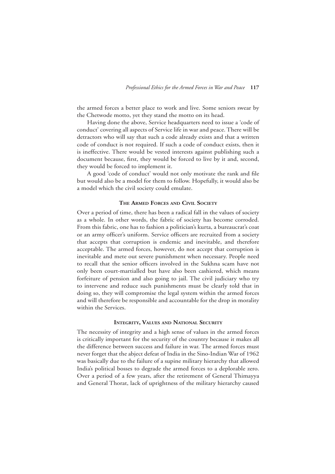the armed forces a better place to work and live. Some seniors swear by the Chetwode motto, yet they stand the motto on its head.

Having done the above, Service headquarters need to issue a 'code of conduct' covering all aspects of Service life in war and peace. There will be detractors who will say that such a code already exists and that a written code of conduct is not required. If such a code of conduct exists, then it is ineffective. There would be vested interests against publishing such a document because, first, they would be forced to live by it and, second, they would be forced to implement it.

A good 'code of conduct' would not only motivate the rank and file but would also be a model for them to follow. Hopefully, it would also be a model which the civil society could emulate.

#### **The Armed Forces and Civil Society**

Over a period of time, there has been a radical fall in the values of society as a whole. In other words, the fabric of society has become corroded. From this fabric, one has to fashion a politician's kurta, a bureaucrat's coat or an army officer's uniform. Service officers are recruited from a society that accepts that corruption is endemic and inevitable, and therefore acceptable. The armed forces, however, do not accept that corruption is inevitable and mete out severe punishment when necessary. People need to recall that the senior officers involved in the Sukhna scam have not only been court-martialled but have also been cashiered, which means forfeiture of pension and also going to jail. The civil judiciary who try to intervene and reduce such punishments must be clearly told that in doing so, they will compromise the legal system within the armed forces and will therefore be responsible and accountable for the drop in morality within the Services.

#### **Integrity, Values and National Security**

The necessity of integrity and a high sense of values in the armed forces is critically important for the security of the country because it makes all the difference between success and failure in war. The armed forces must never forget that the abject defeat of India in the Sino-Indian War of 1962 was basically due to the failure of a supine military hierarchy that allowed India's political bosses to degrade the armed forces to a deplorable zero. Over a period of a few years, after the retirement of General Thimayya and General Thorat, lack of uprightness of the military hierarchy caused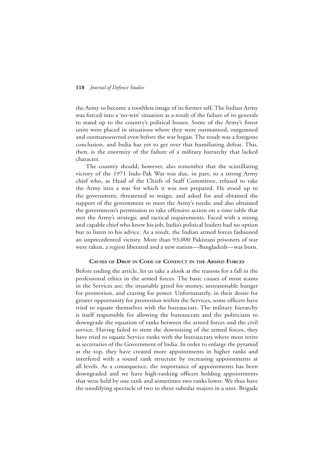the Army to become a toothless image of its former self. The Indian Army was forced into a 'no-win' situation as a result of the failure of its generals to stand up to the country's political bosses. Some of the Army's finest units were placed in situations where they were outmanned, outgunned and outmanoeuvred even before the war began. The result was a foregone conclusion, and India has yet to get over that humiliating defeat. This, then, is the enormity of the failure of a military hierarchy that lacked character.

The country should, however, also remember that the scintillating victory of the 1971 Indo-Pak War was due, in part, to a strong Army chief who, as Head of the Chiefs of Staff Committee, refused to take the Army into a war for which it was not prepared. He stood up to the government, threatened to resign, and asked for and obtained the support of the government to meet the Army's needs; and also obtained the government's permission to take offensive action on a time table that met the Army's strategic and tactical requirements. Faced with a strong and capable chief who knew his job, India's political leaders had no option but to listen to his advice. As a result, the Indian armed forces fashioned an unprecedented victory. More than 93,000 Pakistani prisoners of war were taken, a region liberated and a new nation—Bangladesh—was born.

#### **Causes of Drop in Code of Conduct in the Armed Forces**

Before ending the article, let us take a alook at the reasons for a fall in the professional ethics in the armed forces. The basic causes of most scams in the Services are: the insatiable greed for money, unreasonable hunger for promotion, and craving for power. Unfortunately, in their desire for greater opportunity for promotion within the Services, some officers have tried to equate themselves with the bureaucrats. The military hierarchy is itself responsible for allowing the bureaucrats and the politicians to downgrade the equation of ranks between the armed forces and the civil service. Having failed to stem the downsizing of the armed forces, they have tried to equate Service ranks with the bureaucrats where most retire as secretaries of the Government of India. In order to enlarge the pyramid at the top, they have created more appointments in higher ranks and interfered with a sound rank structure by increasing appointments at all levels. As a consequence, the importance of appointments has been downgraded and we have high-ranking officers holding appointments that were held by one rank and sometimes two ranks lower. We thus have the unedifying spectacle of two to three subedar majors in a unit. Brigade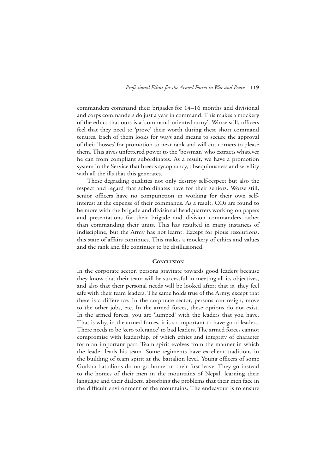commanders command their brigades for 14–16 months and divisional and corps commanders do just a year in command. This makes a mockery of the ethics that ours is a 'command-oriented army'. Worse still, officers feel that they need to 'prove' their worth during these short command tenures. Each of them looks for ways and means to secure the approval of their 'bosses' for promotion to next rank and will cut corners to please them. This gives unfettered power to the 'bossman' who extracts whatever he can from compliant subordinates. As a result, we have a promotion system in the Service that breeds sycophancy, obsequiousness and servility with all the ills that this generates.

These degrading qualities not only destroy self-respect but also the respect and regard that subordinates have for their seniors. Worse still, senior officers have no compunction in working for their own selfinterest at the expense of their commands. As a result, COs are found to be more with the brigade and divisional headquarters working on papers and presentations for their brigade and division commanders rather than commanding their units. This has resulted in many instances of indiscipline, but the Army has not learnt. Except for pious resolutions, this state of affairs continues. This makes a mockery of ethics and values and the rank and file continues to be disillusioned.

#### **Conclusion**

In the corporate sector, persons gravitate towards good leaders because they know that their team will be successful in meeting all its objectives, and also that their personal needs will be looked after; that is, they feel safe with their team leaders. The same holds true of the Army, except that there is a difference. In the corporate sector, persons can resign, move to the other jobs, etc. In the armed forces, these options do not exist. In the armed forces, you are 'lumped' with the leaders that you have. That is why, in the armed forces, it is so important to have good leaders. There needs to be 'zero tolerance' to bad leaders. The armed forces cannot compromise with leadership, of which ethics and integrity of character form an important part. Team spirit evolves from the manner in which the leader leads his team. Some regiments have excellent traditions in the building of team spirit at the battalion level. Young officers of some Gorkha battalions do no go home on their first leave. They go instead to the homes of their men in the mountains of Nepal, learning their language and their dialects, absorbing the problems that their men face in the difficult environment of the mountains. The endeavour is to ensure